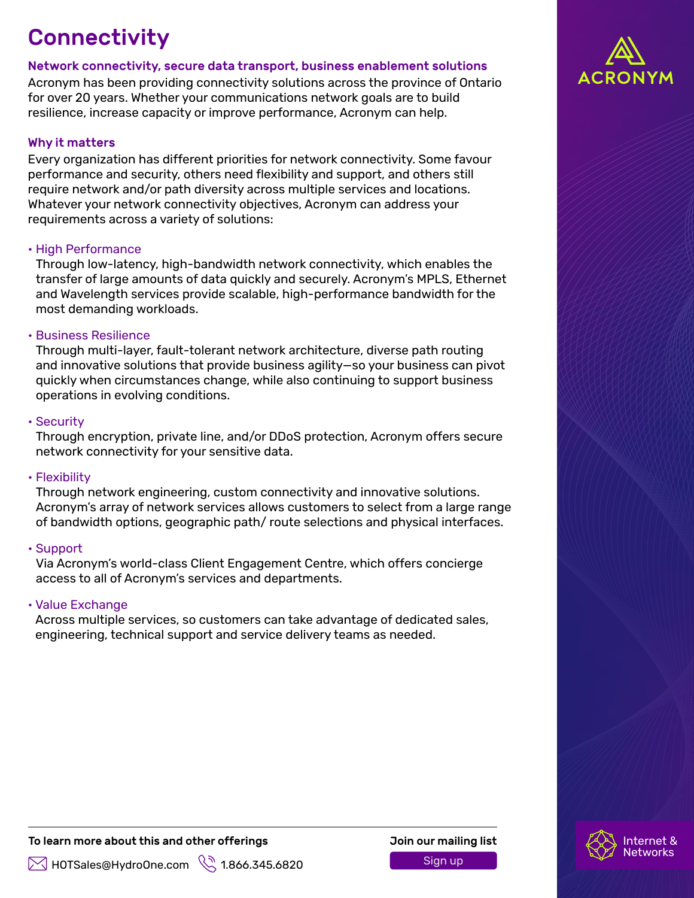## **Connectivity**

## Network connectivity, secure data transport, business enablement solutions

Acronym has been providing connectivity solutions across the province of Ontario for over 20 years. Whether your communications network goals are to build resilience, increase capacity or improve performance, Acronym can help.

## Why it matters

Every organization has different priorities for network connectivity. Some favour performance and security, others need flexibility and support, and others still require network and/or path diversity across multiple services and locations. Whatever your network connectivity objectives, Acronym can address your requirements across a variety of solutions:

#### • High Performance

Through low-latency, high-bandwidth network connectivity, which enables the transfer of large amounts of data quickly and securely. Acronym's MPLS, Ethernet and Wavelength services provide scalable, high-performance bandwidth for the most demanding workloads.

#### • Business Resilience

Through multi-layer, fault-tolerant network architecture, diverse path routing and innovative solutions that provide business agility—so your business can pivot quickly when circumstances change, while also continuing to support business operations in evolving conditions.

#### • Security

Through encryption, private line, and/or DDoS protection, Acronym offers secure network connectivity for your sensitive data.

#### • Flexibility

Through network engineering, custom connectivity and innovative solutions. Acronym's array of network services allows customers to select from a large range of bandwidth options, geographic path/ route selections and physical interfaces.

## • Support

Via Acronym's world-class Client Engagement Centre, which offers concierge access to all of Acronym's services and departments.

## • Value Exchange

Across multiple services, so customers can take advantage of dedicated sales, engineering, technical support and service delivery teams as needed.